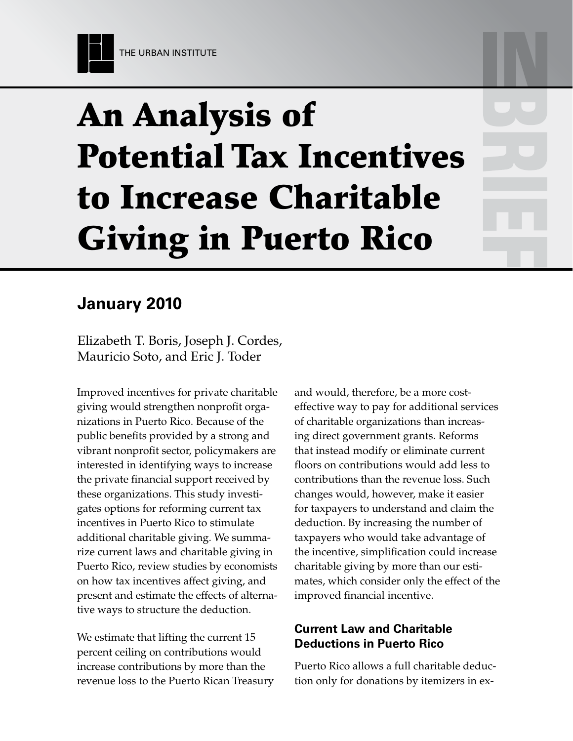# An Analysis of Potential Tax Incentives to Increase Charitable Giving in Puerto Rico

# **January 2010**

Elizabeth T. Boris, Joseph J. Cordes, Mauricio Soto, and Eric J. Toder

Improved incentives for private charitable giving would strengthen nonprofit organizations in Puerto Rico. Because of the public benefits provided by a strong and vibrant nonprofit sector, policymakers are interested in identifying ways to increase the private financial support received by these organizations. This study investigates options for reforming current tax incentives in Puerto Rico to stimulate additional charitable giving. We summarize current laws and charitable giving in Puerto Rico, review studies by economists on how tax incentives affect giving, and present and estimate the effects of alternative ways to structure the deduction.

We estimate that lifting the current 15 percent ceiling on contributions would increase contributions by more than the revenue loss to the Puerto Rican Treasury and would, therefore, be a more costeffective way to pay for additional services of charitable organizations than increasing direct government grants. Reforms that instead modify or eliminate current floors on contributions would add less to contributions than the revenue loss. Such changes would, however, make it easier for taxpayers to understand and claim the deduction. By increasing the number of taxpayers who would take advantage of the incentive, simplification could increase charitable giving by more than our estimates, which consider only the effect of the improved financial incentive.

# **Current Law and Charitable Deductions in Puerto Rico**

Puerto Rico allows a full charitable deduction only for donations by itemizers in ex-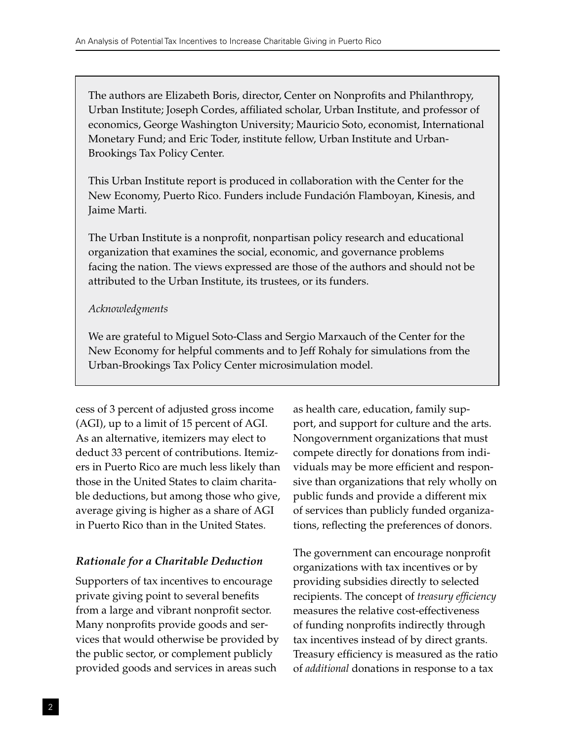The authors are Elizabeth Boris, director, Center on Nonprofits and Philanthropy, Urban Institute; Joseph Cordes, affiliated scholar, Urban Institute, and professor of economics, George Washington University; Mauricio Soto, economist, International Monetary Fund; and Eric Toder, institute fellow, Urban Institute and Urban-Brookings Tax Policy Center.

This Urban Institute report is produced in collaboration with the Center for the New Economy, Puerto Rico. Funders include Fundación Flamboyan, Kinesis, and Jaime Marti.

The Urban Institute is a nonprofit, nonpartisan policy research and educational organization that examines the social, economic, and governance problems facing the nation. The views expressed are those of the authors and should not be attributed to the Urban Institute, its trustees, or its funders.

# *Acknowledgments*

We are grateful to Miguel Soto-Class and Sergio Marxauch of the Center for the New Economy for helpful comments and to Jeff Rohaly for simulations from the Urban-Brookings Tax Policy Center microsimulation model.

cess of 3 percent of adjusted gross income (AGI), up to a limit of 15 percent of AGI. As an alternative, itemizers may elect to deduct 33 percent of contributions. Itemizers in Puerto Rico are much less likely than those in the United States to claim charitable deductions, but among those who give, average giving is higher as a share of AGI in Puerto Rico than in the United States.

# *Rationale for a Charitable Deduction*

Supporters of tax incentives to encourage private giving point to several benefits from a large and vibrant nonprofit sector. Many nonprofits provide goods and services that would otherwise be provided by the public sector, or complement publicly provided goods and services in areas such

as health care, education, family support, and support for culture and the arts. Nongovernment organizations that must compete directly for donations from individuals may be more efficient and responsive than organizations that rely wholly on public funds and provide a different mix of services than publicly funded organizations, reflecting the preferences of donors.

The government can encourage nonprofit organizations with tax incentives or by providing subsidies directly to selected recipients. The concept of *treasury efficiency*  measures the relative cost-effectiveness of funding nonprofits indirectly through tax incentives instead of by direct grants. Treasury efficiency is measured as the ratio of *additional* donations in response to a tax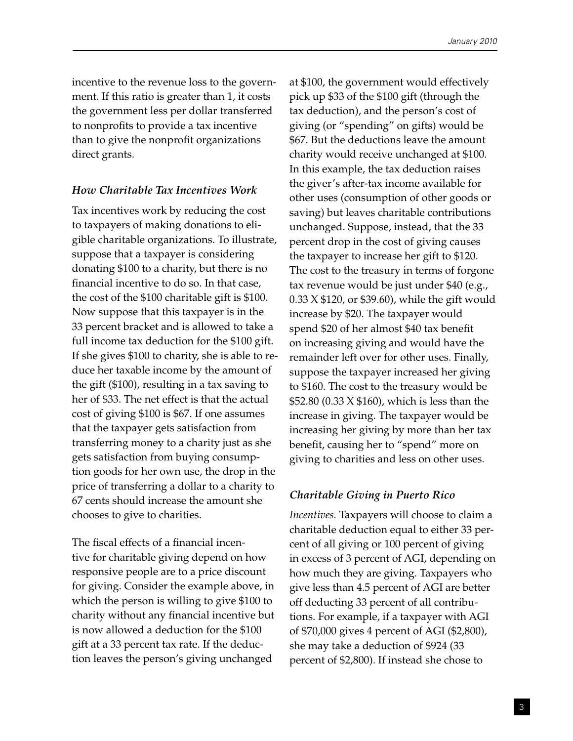incentive to the revenue loss to the government. If this ratio is greater than 1, it costs the government less per dollar transferred to nonprofits to provide a tax incentive than to give the nonprofit organizations direct grants.

## *How Charitable Tax Incentives Work*

Tax incentives work by reducing the cost to taxpayers of making donations to eligible charitable organizations. To illustrate, suppose that a taxpayer is considering donating \$100 to a charity, but there is no financial incentive to do so. In that case, the cost of the \$100 charitable gift is \$100. Now suppose that this taxpayer is in the 33 percent bracket and is allowed to take a full income tax deduction for the \$100 gift. If she gives \$100 to charity, she is able to reduce her taxable income by the amount of the gift (\$100), resulting in a tax saving to her of \$33. The net effect is that the actual cost of giving \$100 is \$67. If one assumes that the taxpayer gets satisfaction from transferring money to a charity just as she gets satisfaction from buying consumption goods for her own use, the drop in the price of transferring a dollar to a charity to 67 cents should increase the amount she chooses to give to charities.

The fiscal effects of a financial incentive for charitable giving depend on how responsive people are to a price discount for giving. Consider the example above, in which the person is willing to give \$100 to charity without any financial incentive but is now allowed a deduction for the \$100 gift at a 33 percent tax rate. If the deduction leaves the person's giving unchanged

at \$100, the government would effectively pick up \$33 of the \$100 gift (through the tax deduction), and the person's cost of giving (or "spending" on gifts) would be \$67. But the deductions leave the amount charity would receive unchanged at \$100. In this example, the tax deduction raises the giver's after-tax income available for other uses (consumption of other goods or saving) but leaves charitable contributions unchanged. Suppose, instead, that the 33 percent drop in the cost of giving causes the taxpayer to increase her gift to \$120. The cost to the treasury in terms of forgone tax revenue would be just under \$40 (e.g., 0.33 X \$120, or \$39.60), while the gift would increase by \$20. The taxpayer would spend \$20 of her almost \$40 tax benefit on increasing giving and would have the remainder left over for other uses. Finally, suppose the taxpayer increased her giving to \$160. The cost to the treasury would be \$52.80 (0.33 X \$160), which is less than the increase in giving. The taxpayer would be increasing her giving by more than her tax benefit, causing her to "spend" more on giving to charities and less on other uses.

# *Charitable Giving in Puerto Rico*

*Incentives.* Taxpayers will choose to claim a charitable deduction equal to either 33 percent of all giving or 100 percent of giving in excess of 3 percent of AGI, depending on how much they are giving. Taxpayers who give less than 4.5 percent of AGI are better off deducting 33 percent of all contributions. For example, if a taxpayer with AGI of \$70,000 gives 4 percent of AGI (\$2,800), she may take a deduction of \$924 (33 percent of \$2,800). If instead she chose to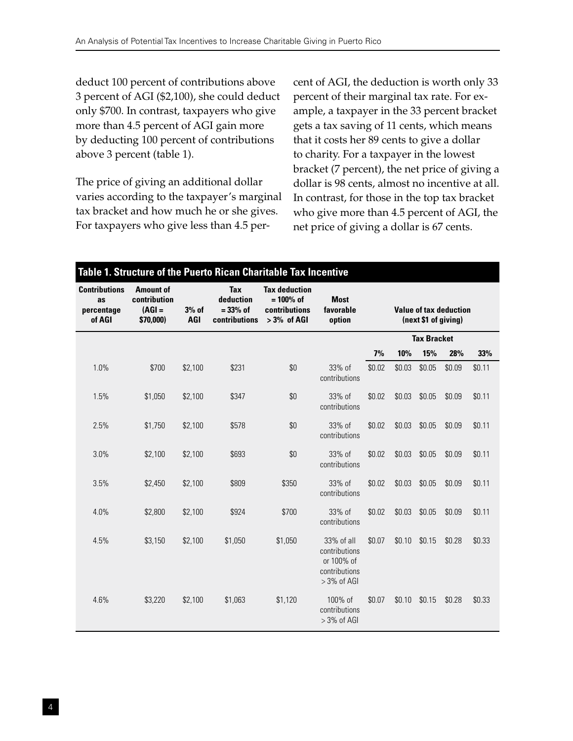deduct 100 percent of contributions above 3 percent of AGI (\$2,100), she could deduct only \$700. In contrast, taxpayers who give more than 4.5 percent of AGI gain more by deducting 100 percent of contributions above 3 percent (table 1).

The price of giving an additional dollar varies according to the taxpayer's marginal tax bracket and how much he or she gives. For taxpayers who give less than 4.5 percent of AGI, the deduction is worth only 33 percent of their marginal tax rate. For example, a taxpayer in the 33 percent bracket gets a tax saving of 11 cents, which means that it costs her 89 cents to give a dollar to charity. For a taxpayer in the lowest bracket (7 percent), the net price of giving a dollar is 98 cents, almost no incentive at all. In contrast, for those in the top tax bracket who give more than 4.5 percent of AGI, the net price of giving a dollar is 67 cents.

#### **Table 1. Structure of the Puerto Rican Charitable Tax Incentive Contributions as percentage of AGI Amount of contribution (AGI = \$70,000) 3% of AGI Tax deduction = 33% of contributions > 3% of AGI Tax deduction = 100% of contributions Most favorable option Value of tax deduction (next \$1 of giving) Tax Bracket 7% 10% 15% 28% 33%** 1.0% \$700 \$2,100 \$231 \$0 33% of contributions \$0.02 \$0.03 \$0.05 \$0.09 \$0.11 1.5% \$1,050 \$2,100 \$347 \$0 33% of contributions \$0.02 \$0.03 \$0.05 \$0.09 \$0.11 2.5% \$1,750 \$2,100 \$578 \$0 33% of contributions \$0.02 \$0.03 \$0.05 \$0.09 \$0.11 3.0% \$2,100 \$2,100 \$693 \$0 33% of contributions \$0.02 \$0.03 \$0.05 \$0.09 \$0.11 3.5% \$2,450 \$2,100 \$809 \$350 33% of contributions \$0.02 \$0.03 \$0.05 \$0.09 \$0.11 4.0% \$2,800 \$2,100 \$924 \$700 33% of contributions \$0.02 \$0.03 \$0.05 \$0.09 \$0.11 4.5% \$3,150 \$2,100 \$1,050 \$1,050 33% of all contributions or 100% of contributions > 3% of AGI \$0.07 \$0.10 \$0.15 \$0.28 \$0.33 4.6% \$3,220 \$2,100 \$1,063 \$1,120 100% of contributions  $> 3\%$  of AGI \$0.07 \$0.10 \$0.15 \$0.28 \$0.33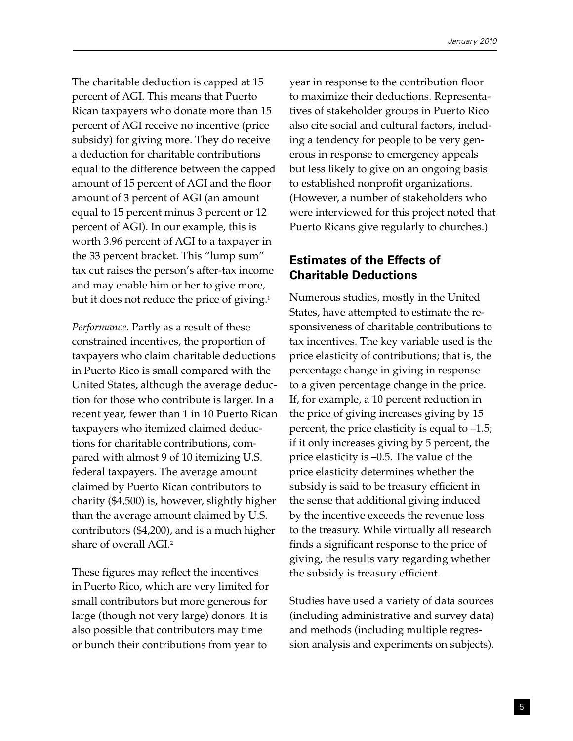The charitable deduction is capped at 15 percent of AGI. This means that Puerto Rican taxpayers who donate more than 15 percent of AGI receive no incentive (price subsidy) for giving more. They do receive a deduction for charitable contributions equal to the difference between the capped amount of 15 percent of AGI and the floor amount of 3 percent of AGI (an amount equal to 15 percent minus 3 percent or 12 percent of AGI). In our example, this is worth 3.96 percent of AGI to a taxpayer in the 33 percent bracket. This "lump sum" tax cut raises the person's after-tax income and may enable him or her to give more, but it does not reduce the price of giving.<sup>1</sup>

*Performance.* Partly as a result of these constrained incentives, the proportion of taxpayers who claim charitable deductions in Puerto Rico is small compared with the United States, although the average deduction for those who contribute is larger. In a recent year, fewer than 1 in 10 Puerto Rican taxpayers who itemized claimed deductions for charitable contributions, compared with almost 9 of 10 itemizing U.S. federal taxpayers. The average amount claimed by Puerto Rican contributors to charity (\$4,500) is, however, slightly higher than the average amount claimed by U.S. contributors (\$4,200), and is a much higher share of overall AGI.2

These figures may reflect the incentives in Puerto Rico, which are very limited for small contributors but more generous for large (though not very large) donors. It is also possible that contributors may time or bunch their contributions from year to

year in response to the contribution floor to maximize their deductions. Representatives of stakeholder groups in Puerto Rico also cite social and cultural factors, including a tendency for people to be very generous in response to emergency appeals but less likely to give on an ongoing basis to established nonprofit organizations. (However, a number of stakeholders who were interviewed for this project noted that Puerto Ricans give regularly to churches.)

# **Estimates of the Effects of Charitable Deductions**

Numerous studies, mostly in the United States, have attempted to estimate the responsiveness of charitable contributions to tax incentives. The key variable used is the price elasticity of contributions; that is, the percentage change in giving in response to a given percentage change in the price. If, for example, a 10 percent reduction in the price of giving increases giving by 15 percent, the price elasticity is equal to –1.5; if it only increases giving by 5 percent, the price elasticity is –0.5. The value of the price elasticity determines whether the subsidy is said to be treasury efficient in the sense that additional giving induced by the incentive exceeds the revenue loss to the treasury. While virtually all research finds a significant response to the price of giving, the results vary regarding whether the subsidy is treasury efficient.

Studies have used a variety of data sources (including administrative and survey data) and methods (including multiple regression analysis and experiments on subjects).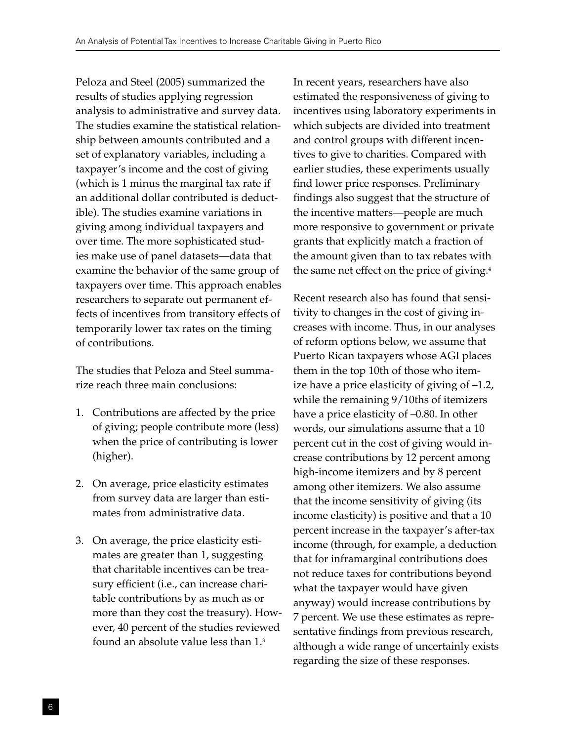Peloza and Steel (2005) summarized the results of studies applying regression analysis to administrative and survey data. The studies examine the statistical relationship between amounts contributed and a set of explanatory variables, including a taxpayer's income and the cost of giving (which is 1 minus the marginal tax rate if an additional dollar contributed is deductible). The studies examine variations in giving among individual taxpayers and over time. The more sophisticated studies make use of panel datasets—data that examine the behavior of the same group of taxpayers over time. This approach enables researchers to separate out permanent effects of incentives from transitory effects of temporarily lower tax rates on the timing of contributions.

The studies that Peloza and Steel summarize reach three main conclusions:

- 1. Contributions are affected by the price of giving; people contribute more (less) when the price of contributing is lower (higher).
- 2. On average, price elasticity estimates from survey data are larger than estimates from administrative data.
- 3. On average, the price elasticity estimates are greater than 1, suggesting that charitable incentives can be treasury efficient (i.e., can increase charitable contributions by as much as or more than they cost the treasury). However, 40 percent of the studies reviewed found an absolute value less than 1.3

In recent years, researchers have also estimated the responsiveness of giving to incentives using laboratory experiments in which subjects are divided into treatment and control groups with different incentives to give to charities. Compared with earlier studies, these experiments usually find lower price responses. Preliminary findings also suggest that the structure of the incentive matters—people are much more responsive to government or private grants that explicitly match a fraction of the amount given than to tax rebates with the same net effect on the price of giving.<sup>4</sup>

Recent research also has found that sensitivity to changes in the cost of giving increases with income. Thus, in our analyses of reform options below, we assume that Puerto Rican taxpayers whose AGI places them in the top 10th of those who itemize have a price elasticity of giving of –1.2, while the remaining 9/10ths of itemizers have a price elasticity of  $-0.80$ . In other words, our simulations assume that a 10 percent cut in the cost of giving would increase contributions by 12 percent among high-income itemizers and by 8 percent among other itemizers. We also assume that the income sensitivity of giving (its income elasticity) is positive and that a 10 percent increase in the taxpayer's after-tax income (through, for example, a deduction that for inframarginal contributions does not reduce taxes for contributions beyond what the taxpayer would have given anyway) would increase contributions by 7 percent. We use these estimates as representative findings from previous research, although a wide range of uncertainly exists regarding the size of these responses.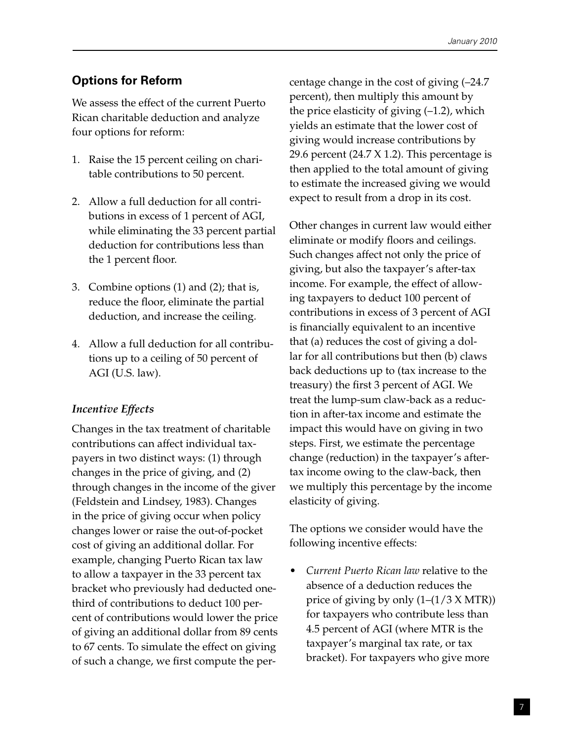# **Options for Reform**

We assess the effect of the current Puerto Rican charitable deduction and analyze four options for reform:

- 1. Raise the 15 percent ceiling on charitable contributions to 50 percent.
- 2. Allow a full deduction for all contributions in excess of 1 percent of AGI, while eliminating the 33 percent partial deduction for contributions less than the 1 percent floor.
- 3. Combine options (1) and (2); that is, reduce the floor, eliminate the partial deduction, and increase the ceiling.
- 4. Allow a full deduction for all contributions up to a ceiling of 50 percent of AGI (U.S. law).

# *Incentive Effects*

Changes in the tax treatment of charitable contributions can affect individual taxpayers in two distinct ways: (1) through changes in the price of giving, and (2) through changes in the income of the giver (Feldstein and Lindsey, 1983). Changes in the price of giving occur when policy changes lower or raise the out-of-pocket cost of giving an additional dollar. For example, changing Puerto Rican tax law to allow a taxpayer in the 33 percent tax bracket who previously had deducted onethird of contributions to deduct 100 percent of contributions would lower the price of giving an additional dollar from 89 cents to 67 cents. To simulate the effect on giving of such a change, we first compute the percentage change in the cost of giving (–24.7 percent), then multiply this amount by the price elasticity of giving (–1.2), which yields an estimate that the lower cost of giving would increase contributions by 29.6 percent (24.7 X 1.2). This percentage is then applied to the total amount of giving to estimate the increased giving we would expect to result from a drop in its cost.

Other changes in current law would either eliminate or modify floors and ceilings. Such changes affect not only the price of giving, but also the taxpayer's after-tax income. For example, the effect of allowing taxpayers to deduct 100 percent of contributions in excess of 3 percent of AGI is financially equivalent to an incentive that (a) reduces the cost of giving a dollar for all contributions but then (b) claws back deductions up to (tax increase to the treasury) the first 3 percent of AGI. We treat the lump-sum claw-back as a reduction in after-tax income and estimate the impact this would have on giving in two steps. First, we estimate the percentage change (reduction) in the taxpayer's aftertax income owing to the claw-back, then we multiply this percentage by the income elasticity of giving.

The options we consider would have the following incentive effects:

• *Current Puerto Rican law* relative to the absence of a deduction reduces the price of giving by only  $(1-(1/3 X MTR))$ for taxpayers who contribute less than 4.5 percent of AGI (where MTR is the taxpayer's marginal tax rate, or tax bracket). For taxpayers who give more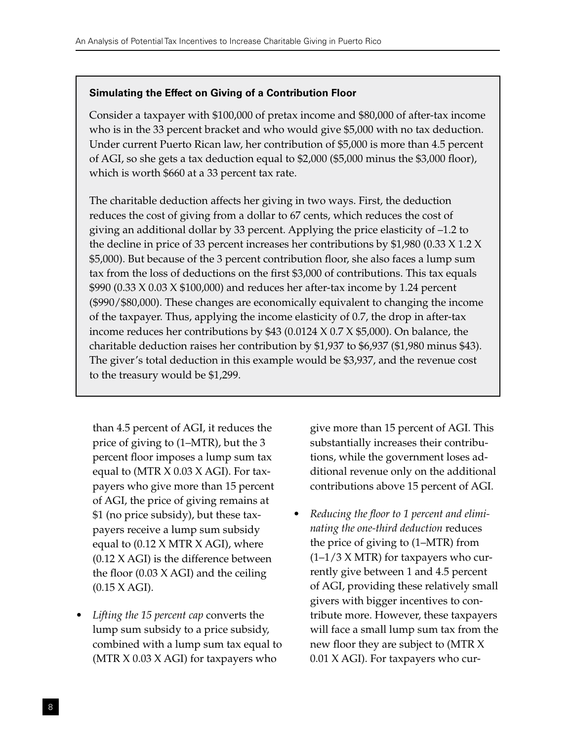# **Simulating the Effect on Giving of a Contribution Floor**

Consider a taxpayer with \$100,000 of pretax income and \$80,000 of after-tax income who is in the 33 percent bracket and who would give \$5,000 with no tax deduction. Under current Puerto Rican law, her contribution of \$5,000 is more than 4.5 percent of AGI, so she gets a tax deduction equal to \$2,000 (\$5,000 minus the \$3,000 floor), which is worth \$660 at a 33 percent tax rate.

The charitable deduction affects her giving in two ways. First, the deduction reduces the cost of giving from a dollar to 67 cents, which reduces the cost of giving an additional dollar by 33 percent. Applying the price elasticity of –1.2 to the decline in price of 33 percent increases her contributions by \$1,980 (0.33 X 1.2 X \$5,000). But because of the 3 percent contribution floor, she also faces a lump sum tax from the loss of deductions on the first \$3,000 of contributions. This tax equals \$990 (0.33 X 0.03 X \$100,000) and reduces her after-tax income by 1.24 percent (\$990/\$80,000). These changes are economically equivalent to changing the income of the taxpayer. Thus, applying the income elasticity of 0.7, the drop in after-tax income reduces her contributions by \$43 (0.0124 X 0.7 X \$5,000). On balance, the charitable deduction raises her contribution by \$1,937 to \$6,937 (\$1,980 minus \$43). The giver's total deduction in this example would be \$3,937, and the revenue cost to the treasury would be \$1,299.

than 4.5 percent of AGI, it reduces the price of giving to (1–MTR), but the 3 percent floor imposes a lump sum tax equal to (MTR X 0.03 X AGI). For taxpayers who give more than 15 percent of AGI, the price of giving remains at \$1 (no price subsidy), but these taxpayers receive a lump sum subsidy equal to  $(0.12 \times MTR \times AGI)$ , where (0.12 X AGI) is the difference between the floor  $(0.03 \text{ X AGI})$  and the ceiling (0.15 X AGI).

*Lifting the 15 percent cap converts the* lump sum subsidy to a price subsidy, combined with a lump sum tax equal to (MTR X 0.03 X AGI) for taxpayers who

give more than 15 percent of AGI. This substantially increases their contributions, while the government loses additional revenue only on the additional contributions above 15 percent of AGI.

**Reducing the floor to 1 percent and elimi***nating the one-third deduction* reduces the price of giving to (1–MTR) from  $(1-1/3 X MTR)$  for taxpayers who currently give between 1 and 4.5 percent of AGI, providing these relatively small givers with bigger incentives to contribute more. However, these taxpayers will face a small lump sum tax from the new floor they are subject to (MTR X 0.01 X AGI). For taxpayers who cur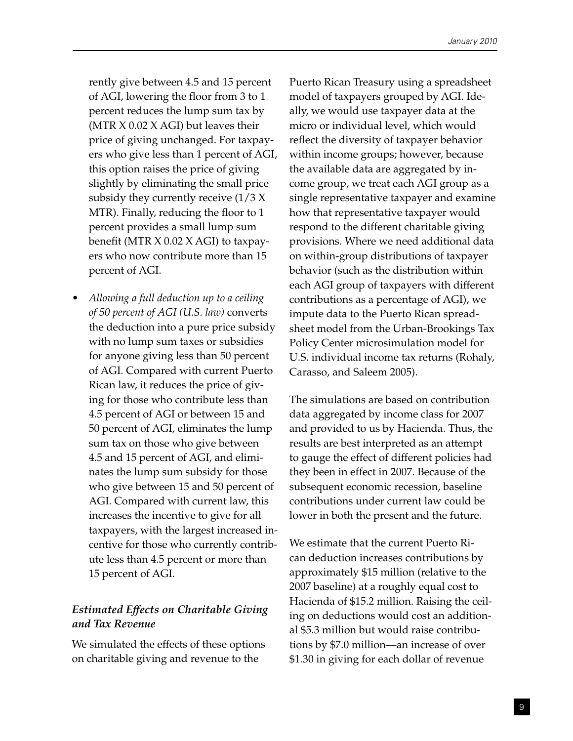rently give between 4.5 and 15 percent of AGI, lowering the floor from 3 to 1 percent reduces the lump sum tax by (MTR  $X$  0.02  $X$  AGI) but leaves their price of giving unchanged. For taxpayers who give less than 1 percent of AGI, this option raises the price of giving slightly by eliminating the small price subsidy they currently receive  $(1/3 X)$ MTR). Finally, reducing the floor to 1 percent provides a small lump sum benefit (MTR X 0.02 X AGI) to taxpayers who now contribute more than 15 percent of AGI.

• *Allowing a full deduction up to a ceiling of 50 percent of AGI (U.S. law)* converts the deduction into a pure price subsidy with no lump sum taxes or subsidies for anyone giving less than 50 percent of AGI. Compared with current Puerto Rican law, it reduces the price of giving for those who contribute less than 4.5 percent of AGI or between 15 and 50 percent of AGI, eliminates the lump sum tax on those who give between 4.5 and 15 percent of AGI, and eliminates the lump sum subsidy for those who give between 15 and 50 percent of AGI. Compared with current law, this increases the incentive to give for all taxpayers, with the largest increased incentive for those who currently contribute less than 4.5 percent or more than 15 percent of AGI.

# *Estimated Effects on Charitable Giving and Tax Revenue*

We simulated the effects of these options on charitable giving and revenue to the

Puerto Rican Treasury using a spreadsheet model of taxpayers grouped by AGI. Ideally, we would use taxpayer data at the micro or individual level, which would reflect the diversity of taxpayer behavior within income groups; however, because the available data are aggregated by income group, we treat each AGI group as a single representative taxpayer and examine how that representative taxpayer would respond to the different charitable giving provisions. Where we need additional data on within-group distributions of taxpayer behavior (such as the distribution within each AGI group of taxpayers with different contributions as a percentage of AGI), we impute data to the Puerto Rican spreadsheet model from the Urban-Brookings Tax Policy Center microsimulation model for U.S. individual income tax returns (Rohaly, Carasso, and Saleem 2005).

The simulations are based on contribution data aggregated by income class for 2007 and provided to us by Hacienda. Thus, the results are best interpreted as an attempt to gauge the effect of different policies had they been in effect in 2007. Because of the subsequent economic recession, baseline contributions under current law could be lower in both the present and the future.

We estimate that the current Puerto Rican deduction increases contributions by approximately \$15 million (relative to the 2007 baseline) at a roughly equal cost to Hacienda of \$15.2 million. Raising the ceiling on deductions would cost an additional \$5.3 million but would raise contributions by \$7.0 million—an increase of over \$1.30 in giving for each dollar of revenue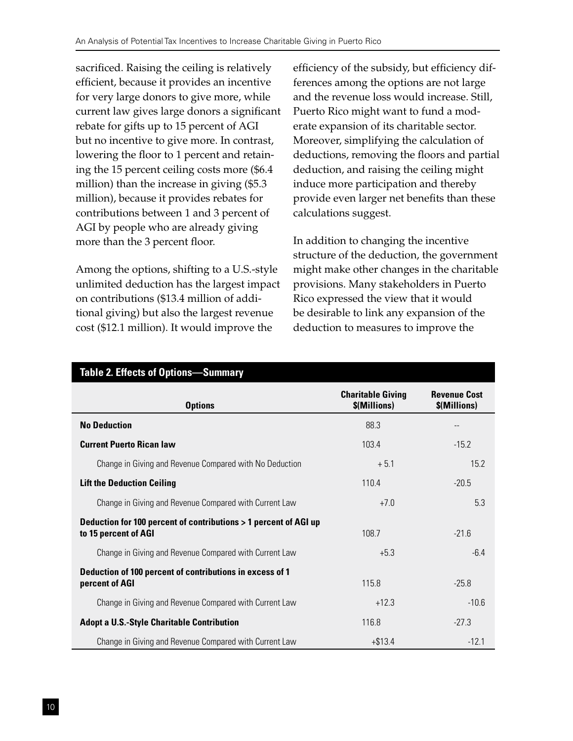sacrificed. Raising the ceiling is relatively efficient, because it provides an incentive for very large donors to give more, while current law gives large donors a significant rebate for gifts up to 15 percent of AGI but no incentive to give more. In contrast, lowering the floor to 1 percent and retaining the 15 percent ceiling costs more (\$6.4 million) than the increase in giving (\$5.3 million), because it provides rebates for contributions between 1 and 3 percent of AGI by people who are already giving more than the 3 percent floor.

Among the options, shifting to a U.S.-style unlimited deduction has the largest impact on contributions (\$13.4 million of additional giving) but also the largest revenue cost (\$12.1 million). It would improve the

efficiency of the subsidy, but efficiency differences among the options are not large and the revenue loss would increase. Still, Puerto Rico might want to fund a moderate expansion of its charitable sector. Moreover, simplifying the calculation of deductions, removing the floors and partial deduction, and raising the ceiling might induce more participation and thereby provide even larger net benefits than these calculations suggest.

In addition to changing the incentive structure of the deduction, the government might make other changes in the charitable provisions. Many stakeholders in Puerto Rico expressed the view that it would be desirable to link any expansion of the deduction to measures to improve the

| <b>Options</b>                                                                           | <b>Charitable Giving</b><br>\$(Millions) | <b>Revenue Cost</b><br>\$(Millions) |
|------------------------------------------------------------------------------------------|------------------------------------------|-------------------------------------|
| <b>No Deduction</b>                                                                      | 88.3                                     | --                                  |
| <b>Current Puerto Rican law</b>                                                          | 103.4                                    | $-15.2$                             |
| Change in Giving and Revenue Compared with No Deduction                                  | $+5.1$                                   | 15.2                                |
| <b>Lift the Deduction Ceiling</b>                                                        | 110.4                                    | $-20.5$                             |
| Change in Giving and Revenue Compared with Current Law                                   | $+7.0$                                   | 5.3                                 |
| Deduction for 100 percent of contributions > 1 percent of AGI up<br>to 15 percent of AGI | 108.7                                    | $-21.6$                             |
| Change in Giving and Revenue Compared with Current Law                                   | $+5.3$                                   | $-6.4$                              |
| Deduction of 100 percent of contributions in excess of 1<br>percent of AGI               | 115.8                                    | $-25.8$                             |
| Change in Giving and Revenue Compared with Current Law                                   | $+12.3$                                  | $-10.6$                             |
| <b>Adopt a U.S.-Style Charitable Contribution</b>                                        | 116.8                                    | $-27.3$                             |
| Change in Giving and Revenue Compared with Current Law                                   | $+ $13.4$                                | $-12.1$                             |

## **Table 2. Effects of Options—Summary**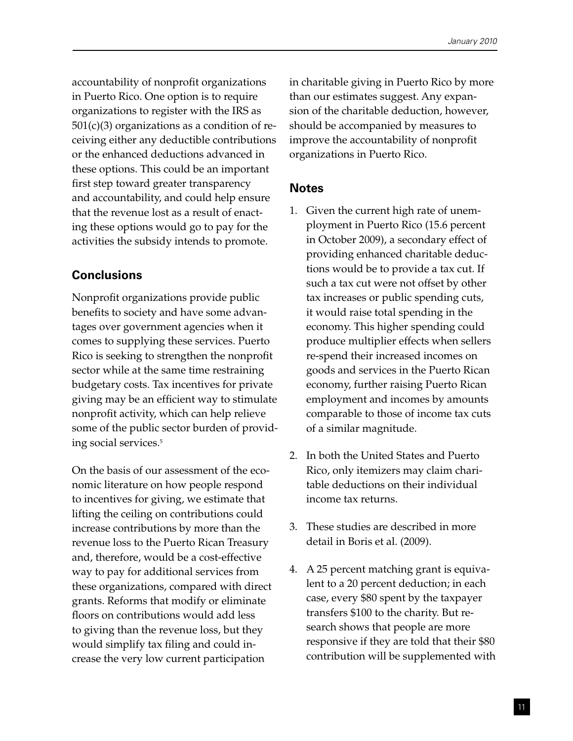accountability of nonprofit organizations in Puerto Rico. One option is to require organizations to register with the IRS as  $501(c)(3)$  organizations as a condition of receiving either any deductible contributions or the enhanced deductions advanced in these options. This could be an important first step toward greater transparency and accountability, and could help ensure that the revenue lost as a result of enacting these options would go to pay for the activities the subsidy intends to promote.

# **Conclusions**

Nonprofit organizations provide public benefits to society and have some advantages over government agencies when it comes to supplying these services. Puerto Rico is seeking to strengthen the nonprofit sector while at the same time restraining budgetary costs. Tax incentives for private giving may be an efficient way to stimulate nonprofit activity, which can help relieve some of the public sector burden of providing social services.5

On the basis of our assessment of the economic literature on how people respond to incentives for giving, we estimate that lifting the ceiling on contributions could increase contributions by more than the revenue loss to the Puerto Rican Treasury and, therefore, would be a cost-effective way to pay for additional services from these organizations, compared with direct grants. Reforms that modify or eliminate floors on contributions would add less to giving than the revenue loss, but they would simplify tax filing and could increase the very low current participation

in charitable giving in Puerto Rico by more than our estimates suggest. Any expansion of the charitable deduction, however, should be accompanied by measures to improve the accountability of nonprofit organizations in Puerto Rico.

# **Notes**

- 1. Given the current high rate of unemployment in Puerto Rico (15.6 percent in October 2009), a secondary effect of providing enhanced charitable deductions would be to provide a tax cut. If such a tax cut were not offset by other tax increases or public spending cuts, it would raise total spending in the economy. This higher spending could produce multiplier effects when sellers re-spend their increased incomes on goods and services in the Puerto Rican economy, further raising Puerto Rican employment and incomes by amounts comparable to those of income tax cuts of a similar magnitude.
- 2. In both the United States and Puerto Rico, only itemizers may claim charitable deductions on their individual income tax returns.
- 3. These studies are described in more detail in Boris et al. (2009).
- 4. A 25 percent matching grant is equivalent to a 20 percent deduction; in each case, every \$80 spent by the taxpayer transfers \$100 to the charity. But research shows that people are more responsive if they are told that their \$80 contribution will be supplemented with